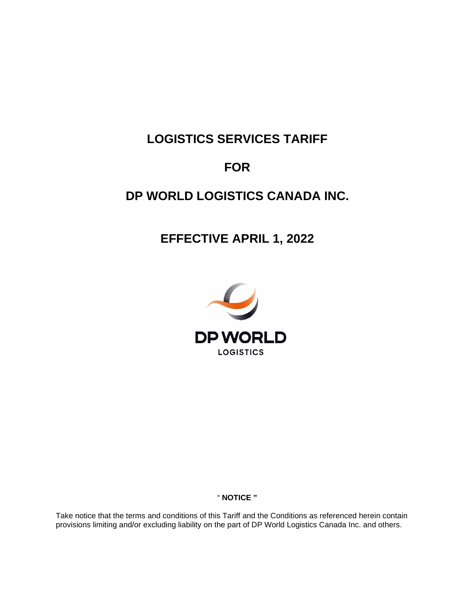# **LOGISTICS SERVICES TARIFF**

# **FOR**

# **DP WORLD LOGISTICS CANADA INC.**

# **EFFECTIVE APRIL 1, 2022**



# " **NOTICE "**

Take notice that the terms and conditions of this Tariff and the Conditions as referenced herein contain provisions limiting and/or excluding liability on the part of DP World Logistics Canada Inc. and others.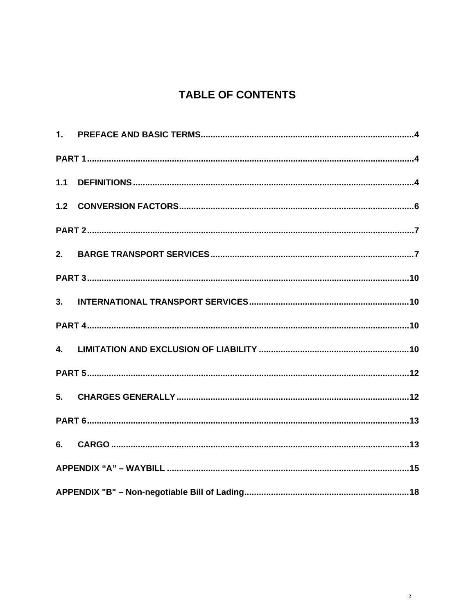# **TABLE OF CONTENTS**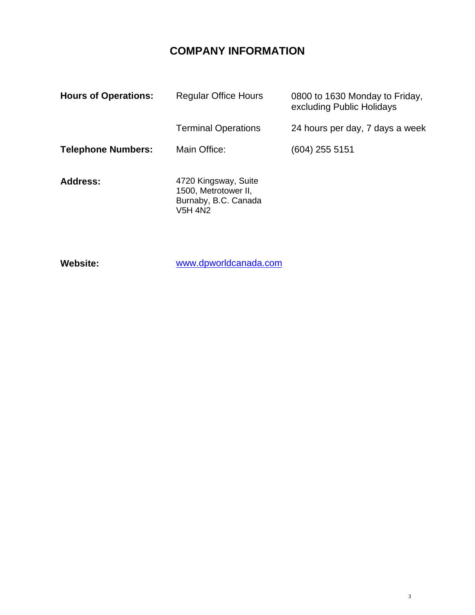# **COMPANY INFORMATION**

| <b>Hours of Operations:</b> | <b>Regular Office Hours</b>                                                            | 0800 to 1630 Monday to Friday,<br>excluding Public Holidays |
|-----------------------------|----------------------------------------------------------------------------------------|-------------------------------------------------------------|
|                             | <b>Terminal Operations</b>                                                             | 24 hours per day, 7 days a week                             |
| <b>Telephone Numbers:</b>   | Main Office:                                                                           | (604) 255 5151                                              |
| <b>Address:</b>             | 4720 Kingsway, Suite<br>1500, Metrotower II,<br>Burnaby, B.C. Canada<br><b>V5H 4N2</b> |                                                             |

**Website:**

[www.dpworldcanada.com](http://www.dpworldcanada.com/)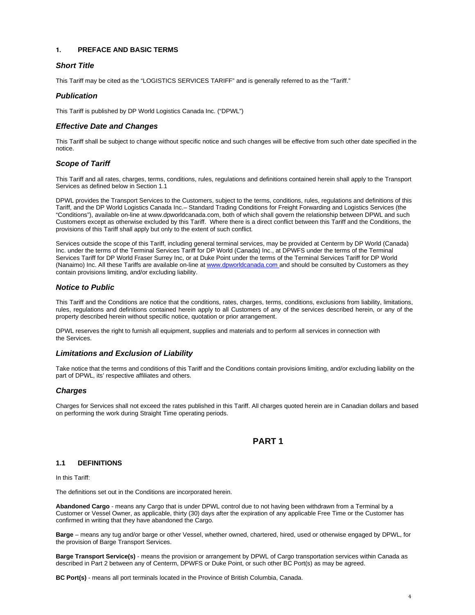#### <span id="page-3-0"></span>**1. PREFACE AND BASIC TERMS**

#### *Short Title*

This Tariff may be cited as the "LOGISTICS SERVICES TARIFF" and is generally referred to as the "Tariff."

#### *Publication*

This Tariff is published by DP World Logistics Canada Inc. ("DPWL")

#### *Effective Date and Changes*

This Tariff shall be subject to change without specific notice and such changes will be effective from such other date specified in the notice.

#### *Scope of Tariff*

This Tariff and all rates, charges, terms, conditions, rules, regulations and definitions contained herein shall apply to the Transport Services as defined below in Section 1.1

DPWL provides the Transport Services to the Customers, subject to the terms, conditions, rules, regulations and definitions of this Tariff, and the DP World Logistics Canada Inc.– Standard Trading Conditions for Freight Forwarding and Logistics Services (the "Conditions"), available on-line at www.dpworldcanada.com, both of which shall govern the relationship between DPWL and such Customers except as otherwise excluded by this Tariff. Where there is a direct conflict between this Tariff and the Conditions, the provisions of this Tariff shall apply but only to the extent of such conflict.

Services outside the scope of this Tariff, including general terminal services, may be provided at Centerm by DP World (Canada) Inc. under the terms of the Terminal Services Tariff for DP World (Canada) Inc., at DPWFS under the terms of the Terminal Services Tariff for DP World Fraser Surrey Inc, or at Duke Point under the terms of the Terminal Services Tariff for DP World (Nanaimo) Inc. All these Tariffs are available on-line at www.dpworldcanada.com and should be consulted by Customers as they contain provisions limiting, and/or excluding liability.

#### *Notice to Public*

This Tariff and the Conditions are notice that the conditions, rates, charges, terms, conditions, exclusions from liability, limitations, rules, regulations and definitions contained herein apply to all Customers of any of the services described herein, or any of the property described herein without specific notice, quotation or prior arrangement.

DPWL reserves the right to furnish all equipment, supplies and materials and to perform all services in connection with the Services.

#### *Limitations and Exclusion of Liability*

Take notice that the terms and conditions of this Tariff and the Conditions contain provisions limiting, and/or excluding liability on the part of DPWL, its' respective affiliates and others.

#### *Charges*

Charges for Services shall not exceed the rates published in this Tariff. All charges quoted herein are in Canadian dollars and based on performing the work during Straight Time operating periods.

### **PART 1**

#### <span id="page-3-2"></span><span id="page-3-1"></span>**1.1 DEFINITIONS**

In this Tariff:

The definitions set out in the Conditions are incorporated herein.

**Abandoned Cargo** - means any Cargo that is under DPWL control due to not having been withdrawn from a Terminal by a Customer or Vessel Owner, as applicable, thirty (30) days after the expiration of any applicable Free Time or the Customer has confirmed in writing that they have abandoned the Cargo.

**Barge** – means any tug and/or barge or other Vessel, whether owned, chartered, hired, used or otherwise engaged by DPWL, for the provision of Barge Transport Services.

**Barge Transport Service(s)** - means the provision or arrangement by DPWL of Cargo transportation services within Canada as described in Part 2 between any of Centerm, DPWFS or Duke Point, or such other BC Port(s) as may be agreed.

**BC Port(s)** - means all port terminals located in the Province of British Columbia, Canada.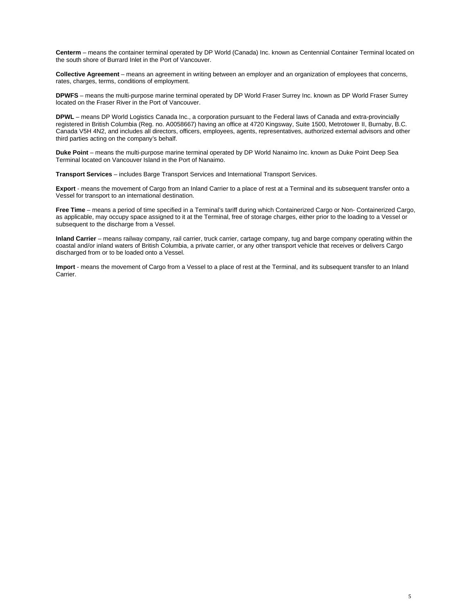**Centerm** – means the container terminal operated by DP World (Canada) Inc. known as Centennial Container Terminal located on the south shore of Burrard Inlet in the Port of Vancouver.

**Collective Agreement** – means an agreement in writing between an employer and an organization of employees that concerns, rates, charges, terms, conditions of employment.

**DPWFS** – means the multi-purpose marine terminal operated by DP World Fraser Surrey Inc. known as DP World Fraser Surrey located on the Fraser River in the Port of Vancouver.

**DPWL** – means DP World Logistics Canada Inc., a corporation pursuant to the Federal laws of Canada and extra-provincially registered in British Columbia (Reg. no. A0058667) having an office at 4720 Kingsway, Suite 1500, Metrotower II, Burnaby, B.C. Canada V5H 4N2, and includes all directors, officers, employees, agents, representatives, authorized external advisors and other third parties acting on the company's behalf.

**Duke Point** – means the multi-purpose marine terminal operated by DP World Nanaimo Inc. known as Duke Point Deep Sea Terminal located on Vancouver Island in the Port of Nanaimo.

**Transport Services** – includes Barge Transport Services and International Transport Services.

**Export** - means the movement of Cargo from an Inland Carrier to a place of rest at a Terminal and its subsequent transfer onto a Vessel for transport to an international destination.

Free Time - means a period of time specified in a Terminal's tariff during which Containerized Cargo or Non- Containerized Cargo, as applicable, may occupy space assigned to it at the Terminal, free of storage charges, either prior to the loading to a Vessel or subsequent to the discharge from a Vessel.

**Inland Carrier** – means railway company, rail carrier, truck carrier, cartage company, tug and barge company operating within the coastal and/or inland waters of British Columbia, a private carrier, or any other transport vehicle that receives or delivers Cargo discharged from or to be loaded onto a Vessel.

**Import** - means the movement of Cargo from a Vessel to a place of rest at the Terminal, and its subsequent transfer to an Inland Carrier.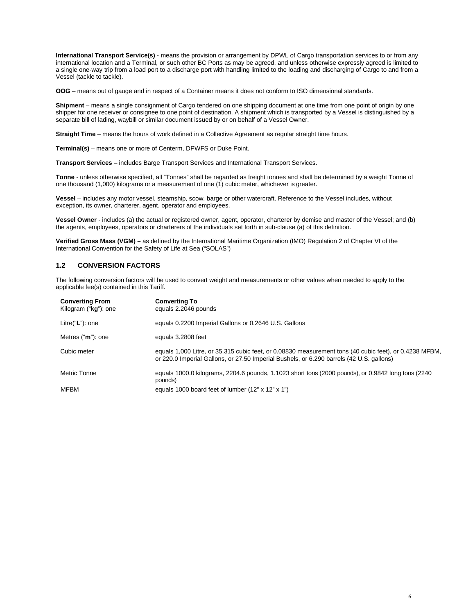**International Transport Service(s)** - means the provision or arrangement by DPWL of Cargo transportation services to or from any international location and a Terminal, or such other BC Ports as may be agreed, and unless otherwise expressly agreed is limited to a single one-way trip from a load port to a discharge port with handling limited to the loading and discharging of Cargo to and from a Vessel (tackle to tackle).

**OOG** – means out of gauge and in respect of a Container means it does not conform to ISO dimensional standards.

**Shipment** – means a single consignment of Cargo tendered on one shipping document at one time from one point of origin by one shipper for one receiver or consignee to one point of destination. A shipment which is transported by a Vessel is distinguished by a separate bill of lading, waybill or similar document issued by or on behalf of a Vessel Owner.

**Straight Time** – means the hours of work defined in a Collective Agreement as regular straight time hours.

**Terminal(s)** – means one or more of Centerm, DPWFS or Duke Point.

**Transport Services** – includes Barge Transport Services and International Transport Services.

**Tonne** - unless otherwise specified, all "Tonnes" shall be regarded as freight tonnes and shall be determined by a weight Tonne of one thousand (1,000) kilograms or a measurement of one (1) cubic meter, whichever is greater.

**Vessel** – includes any motor vessel, steamship, scow, barge or other watercraft. Reference to the Vessel includes, without exception, its owner, charterer, agent, operator and employees.

**Vessel Owner** - includes (a) the actual or registered owner, agent, operator, charterer by demise and master of the Vessel; and (b) the agents, employees, operators or charterers of the individuals set forth in sub-clause (a) of this definition.

**Verified Gross Mass (VGM) –** as defined by the International Maritime Organization (IMO) Regulation 2 of Chapter VI of the International Convention for the Safety of Life at Sea ("SOLAS")

#### <span id="page-5-0"></span>**1.2 CONVERSION FACTORS**

The following conversion factors will be used to convert weight and measurements or other values when needed to apply to the applicable fee(s) contained in this Tariff.

| <b>Converting From</b><br>Kilogram ("kg"): one | <b>Converting To</b><br>equals 2.2046 pounds                                                                                                                                                       |
|------------------------------------------------|----------------------------------------------------------------------------------------------------------------------------------------------------------------------------------------------------|
| Litre("L"): one                                | equals 0.2200 Imperial Gallons or 0.2646 U.S. Gallons                                                                                                                                              |
| Metres ("m"): one                              | equals 3.2808 feet                                                                                                                                                                                 |
| Cubic meter                                    | equals 1,000 Litre, or 35.315 cubic feet, or 0.08830 measurement tons (40 cubic feet), or 0.4238 MFBM,<br>or 220.0 Imperial Gallons, or 27.50 Imperial Bushels, or 6.290 barrels (42 U.S. gallons) |
| Metric Tonne                                   | equals 1000.0 kilograms, 2204.6 pounds, 1.1023 short tons (2000 pounds), or 0.9842 long tons (2240<br>pounds)                                                                                      |
| <b>MFBM</b>                                    | equals 1000 board feet of lumber $(12" \times 12" \times 1")$                                                                                                                                      |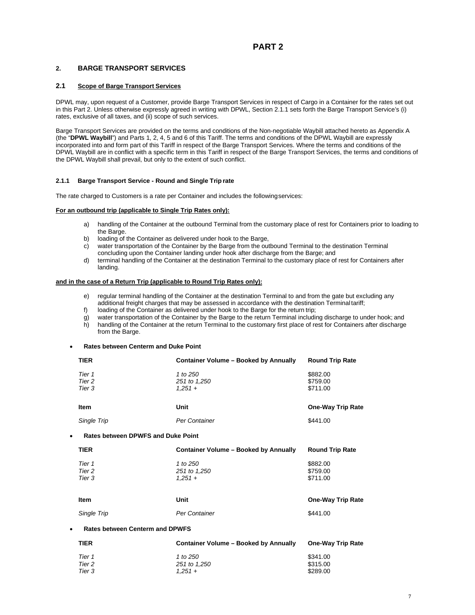# **PART 2**

#### <span id="page-6-1"></span><span id="page-6-0"></span>**2. BARGE TRANSPORT SERVICES**

#### **2.1 Scope of Barge Transport Services**

DPWL may, upon request of a Customer, provide Barge Transport Services in respect of Cargo in a Container for the rates set out in this Part 2. Unless otherwise expressly agreed in writing with DPWL, Section 2.1.1 sets forth the Barge Transport Service's (i) rates, exclusive of all taxes, and (ii) scope of such services.

Barge Transport Services are provided on the terms and conditions of the Non-negotiable Waybill attached hereto as Appendix A (the "**DPWL Waybill**") and Parts 1, 2, 4, 5 and 6 of this Tariff. The terms and conditions of the DPWL Waybill are expressly incorporated into and form part of this Tariff in respect of the Barge Transport Services. Where the terms and conditions of the DPWL Waybill are in conflict with a specific term in this Tariff in respect of the Barge Transport Services, the terms and conditions of the DPWL Waybill shall prevail, but only to the extent of such conflict.

#### **2.1.1 Barge Transport Service - Round and Single Trip rate**

The rate charged to Customers is a rate per Container and includes the followingservices:

#### **For an outbound trip (applicable to Single Trip Rates only):**

- a) handling of the Container at the outbound Terminal from the customary place of rest for Containers prior to loading to the Barge.
- b) loading of the Container as delivered under hook to the Barge,
- c) water transportation of the Container by the Barge from the outbound Terminal to the destination Terminal concluding upon the Container landing under hook after discharge from the Barge; and
- d) terminal handling of the Container at the destination Terminal to the customary place of rest for Containers after landing.

#### **and in the case of a Return Trip (applicable to Round Trip Rates only):**

- e) regular terminal handling of the Container at the destination Terminal to and from the gate but excluding any additional freight charges that may be assessed in accordance with the destination Terminal tariff;
- f) loading of the Container as delivered under hook to the Barge for the return trip;
- g) water transportation of the Container by the Barge to the return Terminal including discharge to under hook; and h) handling of the Container at the return Terminal to the customary first place of rest for Containers after discharge from the Barge.

#### • **Rates between Centerm and Duke Point**

| <b>TIER</b>                                            | <b>Container Volume - Booked by Annually</b> | <b>Round Trip Rate</b>           |  |  |
|--------------------------------------------------------|----------------------------------------------|----------------------------------|--|--|
| Tier 1<br>Tier 2<br>Tier 3                             | 1 to 250<br>251 to 1,250<br>$1.251 +$        | \$882.00<br>\$759.00<br>\$711.00 |  |  |
| <b>Item</b>                                            | Unit                                         | <b>One-Way Trip Rate</b>         |  |  |
| Single Trip                                            | Per Container                                | \$441.00                         |  |  |
| <b>Rates between DPWFS and Duke Point</b><br>$\bullet$ |                                              |                                  |  |  |
| <b>TIER</b>                                            | <b>Container Volume - Booked by Annually</b> | <b>Round Trip Rate</b>           |  |  |
| Tier 1<br>Tier 2<br>Tier 3                             | 1 to 250<br>251 to 1,250<br>$1,251 +$        | \$882.00<br>\$759.00<br>\$711.00 |  |  |
| <b>Item</b>                                            | Unit                                         | <b>One-Way Trip Rate</b>         |  |  |
| Single Trip                                            | Per Container                                | \$441.00                         |  |  |
| <b>Rates between Centerm and DPWFS</b><br>$\bullet$    |                                              |                                  |  |  |
| <b>TIER</b>                                            | <b>Container Volume - Booked by Annually</b> | <b>One-Way Trip Rate</b>         |  |  |
| Tier 1<br>Tier 2                                       | 1 to 250<br>251 to 1,250                     | \$341.00<br>\$315.00             |  |  |

*Tier 3 1,251 +* \$289.00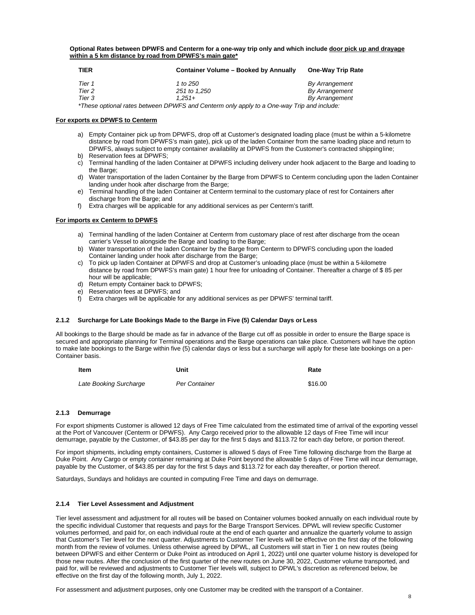**Optional Rates between DPWFS and Centerm for a one-way trip only and which include door pick up and drayage within a 5 km distance by road from DPWFS's main gate\***

| TIER   | <b>Container Volume - Booked by Annually</b>                                              | <b>One-Way Trip Rate</b> |
|--------|-------------------------------------------------------------------------------------------|--------------------------|
| Tier 1 | 1 to 250                                                                                  | By Arrangement           |
| Tier 2 | 251 to 1.250                                                                              | By Arrangement           |
| Tier 3 | $1.251 +$                                                                                 | By Arrangement           |
|        | *These optional rates between DPWFS and Centerm only apply to a One-way Trip and include: |                          |

#### **For exports ex DPWFS to Centerm**

- a) Empty Container pick up from DPWFS, drop off at Customer's designated loading place (must be within a 5-kilometre distance by road from DPWFS's main gate), pick up of the laden Container from the same loading place and return to DPWFS, always subject to empty container availability at DPWFS from the Customer's contracted shippingline;
- b) Reservation fees at DPWFS;
- c) Terminal handling of the laden Container at DPWFS including delivery under hook adjacent to the Barge and loading to the Barge;
- d) Water transportation of the laden Container by the Barge from DPWFS to Centerm concluding upon the laden Container landing under hook after discharge from the Barge;
- e) Terminal handling of the laden Container at Centerm terminal to the customary place of rest for Containers after discharge from the Barge; and
- f) Extra charges will be applicable for any additional services as per Centerm's tariff.

#### **For imports ex Centerm to DPWFS**

- a) Terminal handling of the laden Container at Centerm from customary place of rest after discharge from the ocean carrier's Vessel to alongside the Barge and loading to the Barge;
- b) Water transportation of the laden Container by the Barge from Centerm to DPWFS concluding upon the loaded Container landing under hook after discharge from the Barge;
- c) To pick up laden Container at DPWFS and drop at Customer's unloading place (must be within a 5-kilometre distance by road from DPWFS's main gate) 1 hour free for unloading of Container. Thereafter a charge of \$ 85 per hour will be applicable;
- d) Return empty Container back to DPWFS;
- e) Reservation fees at DPWFS; and
- f) Extra charges will be applicable for any additional services as per DPWFS' terminal tariff.

#### **2.1.2 Surcharge for Late Bookings Made to the Barge in Five (5) Calendar Days or Less**

All bookings to the Barge should be made as far in advance of the Barge cut off as possible in order to ensure the Barge space is secured and appropriate planning for Terminal operations and the Barge operations can take place. Customers will have the option to make late bookings to the Barge within five (5) calendar days or less but a surcharge will apply for these late bookings on a per-Container basis.

| Item                   | Unit          |         |
|------------------------|---------------|---------|
| Late Booking Surcharge | Per Container | \$16.00 |

#### **2.1.3 Demurrage**

For export shipments Customer is allowed 12 days of Free Time calculated from the estimated time of arrival of the exporting vessel at the Port of Vancouver (Centerm or DPWFS). Any Cargo received prior to the allowable 12 days of Free Time will incur demurrage, payable by the Customer, of \$43.85 per day for the first 5 days and \$113.72 for each day before, or portion thereof.

For import shipments, including empty containers, Customer is allowed 5 days of Free Time following discharge from the Barge at Duke Point. Any Cargo or empty container remaining at Duke Point beyond the allowable 5 days of Free Time will incur demurrage, payable by the Customer, of \$43.85 per day for the first 5 days and \$113.72 for each day thereafter, or portion thereof.

Saturdays, Sundays and holidays are counted in computing Free Time and days on demurrage.

#### **2.1.4 Tier Level Assessment and Adjustment**

Tier level assessment and adjustment for all routes will be based on Container volumes booked annually on each individual route by the specific individual Customer that requests and pays for the Barge Transport Services. DPWL will review specific Customer volumes performed, and paid for, on each individual route at the end of each quarter and annualize the quarterly volume to assign that Customer's Tier level for the next quarter. Adjustments to Customer Tier levels will be effective on the first day of the following month from the review of volumes. Unless otherwise agreed by DPWL, all Customers will start in Tier 1 on new routes (being between DPWFS and either Centerm or Duke Point as introduced on April 1, 2022) until one quarter volume history is developed for those new routes. After the conclusion of the first quarter of the new routes on June 30, 2022, Customer volume transported, and paid for, will be reviewed and adjustments to Customer Tier levels will, subject to DPWL's discretion as referenced below, be effective on the first day of the following month, July 1, 2022.

For assessment and adjustment purposes, only one Customer may be credited with the transport of a Container.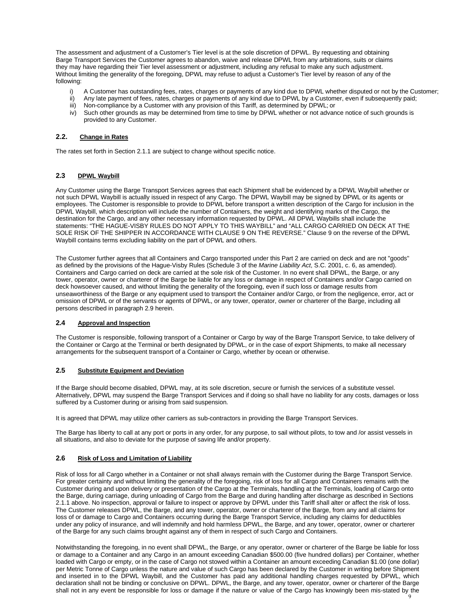The assessment and adjustment of a Customer's Tier level is at the sole discretion of DPWL. By requesting and obtaining Barge Transport Services the Customer agrees to abandon, waive and release DPWL from any arbitrations, suits or claims they may have regarding their Tier level assessment or adjustment, including any refusal to make any such adjustment. Without limiting the generality of the foregoing, DPWL may refuse to adjust a Customer's Tier level by reason of any of the following:

- i) A Customer has outstanding fees, rates, charges or payments of any kind due to DPWL whether disputed or not by the Customer;<br>ii) Any late payment of fees, rates, charges or payments of any kind due to DPWL by a Customer
- Any late payment of fees, rates, charges or payments of any kind due to DPWL by a Customer, even if subsequently paid;
- iii) Non-compliance by a Customer with any provision of this Tariff, as determined by DPWL; or
- iv) Such other grounds as may be determined from time to time by DPWL whether or not advance notice of such grounds is provided to any Customer.

#### **2.2. Change in Rates**

The rates set forth in Section 2.1.1 are subject to change without specific notice.

#### **2.3 DPWL Waybill**

Any Customer using the Barge Transport Services agrees that each Shipment shall be evidenced by a DPWL Waybill whether or not such DPWL Waybill is actually issued in respect of any Cargo. The DPWL Waybill may be signed by DPWL or its agents or employees. The Customer is responsible to provide to DPWL before transport a written description of the Cargo for inclusion in the DPWL Waybill, which description will include the number of Containers, the weight and identifying marks of the Cargo, the destination for the Cargo, and any other necessary information requested by DPWL. All DPWL Waybills shall include the statements: "THE HAGUE-VISBY RULES DO NOT APPLY TO THIS WAYBILL" and "ALL CARGO CARRIED ON DECK AT THE SOLE RISK OF THE SHIPPER IN ACCORDANCE WITH CLAUSE 9 ON THE REVERSE." Clause 9 on the reverse of the DPWL Waybill contains terms excluding liability on the part of DPWL and others.

The Customer further agrees that all Containers and Cargo transported under this Part 2 are carried on deck and are not "goods" as defined by the provisions of the Hague-Visby Rules (Schedule 3 of the *Marine Liability Act*, S.C. 2001, c. 6, as amended). Containers and Cargo carried on deck are carried at the sole risk of the Customer. In no event shall DPWL, the Barge, or any tower, operator, owner or charterer of the Barge be liable for any loss or damage in respect of Containers and/or Cargo carried on deck howsoever caused, and without limiting the generality of the foregoing, even if such loss or damage results from unseaworthiness of the Barge or any equipment used to transport the Container and/or Cargo, or from the negligence, error, act or omission of DPWL or of the servants or agents of DPWL, or any tower, operator, owner or charterer of the Barge, including all persons described in paragraph 2.9 herein.

#### **2.4 Approval and Inspection**

The Customer is responsible, following transport of a Container or Cargo by way of the Barge Transport Service, to take delivery of the Container or Cargo at the Terminal or berth designated by DPWL, or in the case of export Shipments, to make all necessary arrangements for the subsequent transport of a Container or Cargo, whether by ocean or otherwise.

#### **2.5 Substitute Equipment and Deviation**

If the Barge should become disabled, DPWL may, at its sole discretion, secure or furnish the services of a substitute vessel. Alternatively, DPWL may suspend the Barge Transport Services and if doing so shall have no liability for any costs, damages or loss suffered by a Customer during or arising from said suspension.

It is agreed that DPWL may utilize other carriers as sub-contractors in providing the Barge Transport Services.

The Barge has liberty to call at any port or ports in any order, for any purpose, to sail without pilots, to tow and /or assist vessels in all situations, and also to deviate for the purpose of saving life and/or property.

#### **2.6 Risk of Loss and Limitation of Liability**

Risk of loss for all Cargo whether in a Container or not shall always remain with the Customer during the Barge Transport Service. For greater certainty and without limiting the generality of the foregoing, risk of loss for all Cargo and Containers remains with the Customer during and upon delivery or presentation of the Cargo at the Terminals, handling at the Terminals, loading of Cargo onto the Barge, during carriage, during unloading of Cargo from the Barge and during handling after discharge as described in Sections 2.1.1 above. No inspection, approval or failure to inspect or approve by DPWL under this Tariff shall alter or affect the risk of loss. The Customer releases DPWL, the Barge, and any tower, operator, owner or charterer of the Barge, from any and all claims for loss of or damage to Cargo and Containers occurring during the Barge Transport Service, including any claims for deductibles under any policy of insurance, and will indemnify and hold harmless DPWL, the Barge, and any tower, operator, owner or charterer of the Barge for any such claims brought against any of them in respect of such Cargo and Containers.

Notwithstanding the foregoing, in no event shall DPWL, the Barge, or any operator, owner or charterer of the Barge be liable for loss or damage to a Container and any Cargo in an amount exceeding Canadian \$500.00 (five hundred dollars) per Container, whether loaded with Cargo or empty, or in the case of Cargo not stowed within a Container an amount exceeding Canadian \$1.00 (one dollar) per Metric Tonne of Cargo unless the nature and value of such Cargo has been declared by the Customer in writing before Shipment and inserted in to the DPWL Waybill, and the Customer has paid any additional handling charges requested by DPWL, which declaration shall not be binding or conclusive on DPWL. DPWL, the Barge, and any tower, operator, owner or charterer of the Barge shall not in any event be responsible for loss or damage if the nature or value of the Cargo has knowingly been mis-stated by the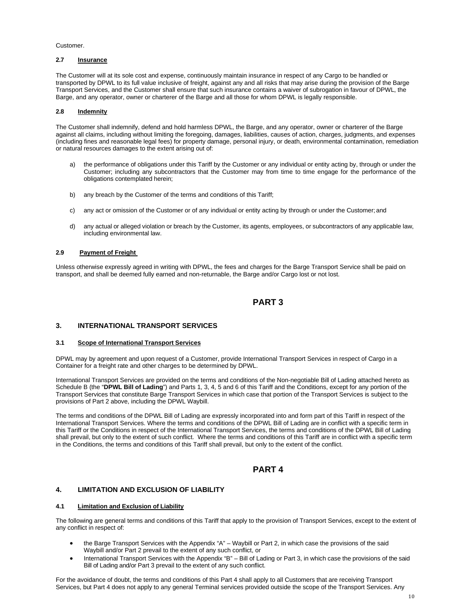#### Customer.

#### **2.7 Insurance**

The Customer will at its sole cost and expense, continuously maintain insurance in respect of any Cargo to be handled or transported by DPWL to its full value inclusive of freight, against any and all risks that may arise during the provision of the Barge Transport Services, and the Customer shall ensure that such insurance contains a waiver of subrogation in favour of DPWL, the Barge, and any operator, owner or charterer of the Barge and all those for whom DPWL is legally responsible.

#### **2.8 Indemnity**

The Customer shall indemnify, defend and hold harmless DPWL, the Barge, and any operator, owner or charterer of the Barge against all claims, including without limiting the foregoing, damages, liabilities, causes of action, charges, judgments, and expenses (including fines and reasonable legal fees) for property damage, personal injury, or death, environmental contamination, remediation or natural resources damages to the extent arising out of:

- a) the performance of obligations under this Tariff by the Customer or any individual or entity acting by, through or under the Customer; including any subcontractors that the Customer may from time to time engage for the performance of the obligations contemplated herein;
- b) any breach by the Customer of the terms and conditions of this Tariff;
- c) any act or omission of the Customer or of any individual or entity acting by through or under the Customer; and
- d) any actual or alleged violation or breach by the Customer, its agents, employees, or subcontractors of any applicable law, including environmental law.

#### **2.9 Payment of Freight**

Unless otherwise expressly agreed in writing with DPWL, the fees and charges for the Barge Transport Service shall be paid on transport, and shall be deemed fully earned and non-returnable, the Barge and/or Cargo lost or not lost.

### **PART 3**

#### <span id="page-9-1"></span><span id="page-9-0"></span>**3. INTERNATIONAL TRANSPORT SERVICES**

#### **3.1 Scope of International Transport Services**

DPWL may by agreement and upon request of a Customer, provide International Transport Services in respect of Cargo in a Container for a freight rate and other charges to be determined by DPWL.

International Transport Services are provided on the terms and conditions of the Non-negotiable Bill of Lading attached hereto as Schedule B (the "**DPWL Bill of Lading**") and Parts 1, 3, 4, 5 and 6 of this Tariff and the Conditions, except for any portion of the Transport Services that constitute Barge Transport Services in which case that portion of the Transport Services is subject to the provisions of Part 2 above, including the DPWL Waybill.

The terms and conditions of the DPWL Bill of Lading are expressly incorporated into and form part of this Tariff in respect of the International Transport Services. Where the terms and conditions of the DPWL Bill of Lading are in conflict with a specific term in this Tariff or the Conditions in respect of the International Transport Services, the terms and conditions of the DPWL Bill of Lading shall prevail, but only to the extent of such conflict. Where the terms and conditions of this Tariff are in conflict with a specific term in the Conditions, the terms and conditions of this Tariff shall prevail, but only to the extent of the conflict.

### **PART 4**

#### <span id="page-9-3"></span><span id="page-9-2"></span>**4. LIMITATION AND EXCLUSION OF LIABILITY**

#### **4.1 Limitation and Exclusion of Liability**

The following are general terms and conditions of this Tariff that apply to the provision of Transport Services, except to the extent of any conflict in respect of:

- the Barge Transport Services with the Appendix "A" Waybill or Part 2, in which case the provisions of the said Waybill and/or Part 2 prevail to the extent of any such conflict, or
- International Transport Services with the Appendix "B" Bill of Lading or Part 3, in which case the provisions of the said Bill of Lading and/or Part 3 prevail to the extent of any such conflict.

For the avoidance of doubt, the terms and conditions of this Part 4 shall apply to all Customers that are receiving Transport Services, but Part 4 does not apply to any general Terminal services provided outside the scope of the Transport Services. Any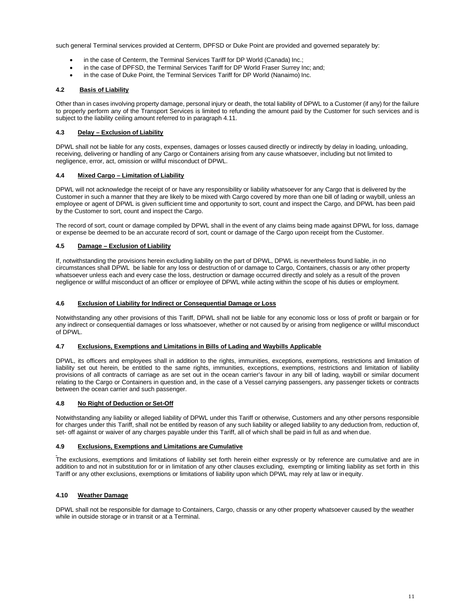such general Terminal services provided at Centerm, DPFSD or Duke Point are provided and governed separately by:

- in the case of Centerm, the Terminal Services Tariff for DP World (Canada) Inc.;
- in the case of DPFSD, the Terminal Services Tariff for DP World Fraser Surrey Inc; and;
- in the case of Duke Point, the Terminal Services Tariff for DP World (Nanaimo) Inc.

#### **4.2 Basis of Liability**

Other than in cases involving property damage, personal injury or death, the total liability of DPWL to a Customer (if any) for the failure to properly perform any of the Transport Services is limited to refunding the amount paid by the Customer for such services and is subject to the liability ceiling amount referred to in paragraph 4.11.

#### **4.3 Delay – Exclusion of Liability**

DPWL shall not be liable for any costs, expenses, damages or losses caused directly or indirectly by delay in loading, unloading, receiving, delivering or handling of any Cargo or Containers arising from any cause whatsoever, including but not limited to negligence, error, act, omission or willful misconduct of DPWL.

#### **4.4 Mixed Cargo – Limitation of Liability**

DPWL will not acknowledge the receipt of or have any responsibility or liability whatsoever for any Cargo that is delivered by the Customer in such a manner that they are likely to be mixed with Cargo covered by more than one bill of lading or waybill, unless an employee or agent of DPWL is given sufficient time and opportunity to sort, count and inspect the Cargo, and DPWL has been paid by the Customer to sort, count and inspect the Cargo.

The record of sort, count or damage compiled by DPWL shall in the event of any claims being made against DPWL for loss, damage or expense be deemed to be an accurate record of sort, count or damage of the Cargo upon receipt from the Customer.

#### **4.5 Damage – Exclusion of Liability**

If, notwithstanding the provisions herein excluding liability on the part of DPWL, DPWL is nevertheless found liable, in no circumstances shall DPWL be liable for any loss or destruction of or damage to Cargo, Containers, chassis or any other property whatsoever unless each and every case the loss, destruction or damage occurred directly and solely as a result of the proven negligence or willful misconduct of an officer or employee of DPWL while acting within the scope of his duties or employment.

#### **4.6 Exclusion of Liability for Indirect or Consequential Damage or Loss**

Notwithstanding any other provisions of this Tariff, DPWL shall not be liable for any economic loss or loss of profit or bargain or for any indirect or consequential damages or loss whatsoever, whether or not caused by or arising from negligence or willful misconduct of DPWL.

#### **4.7 Exclusions, Exemptions and Limitations in Bills of Lading and Waybills Applicable**

DPWL, its officers and employees shall in addition to the rights, immunities, exceptions, exemptions, restrictions and limitation of liability set out herein, be entitled to the same rights, immunities, exceptions, exemptions, restrictions and limitation of liability provisions of all contracts of carriage as are set out in the ocean carrier's favour in any bill of lading, waybill or similar document relating to the Cargo or Containers in question and, in the case of a Vessel carrying passengers, any passenger tickets or contracts between the ocean carrier and such passenger.

#### **4.8 No Right of Deduction or Set-Off**

Notwithstanding any liability or alleged liability of DPWL under this Tariff or otherwise, Customers and any other persons responsible for charges under this Tariff, shall not be entitled by reason of any such liability or alleged liability to any deduction from, reduction of, set- off against or waiver of any charges payable under this Tariff, all of which shall be paid in full as and when due.

#### **4.9 Exclusions, Exemptions and Limitations are Cumulative**

The exclusions, exemptions and limitations of liability set forth herein either expressly or by reference are cumulative and are in addition to and not in substitution for or in limitation of any other clauses excluding, exempting or limiting liability as set forth in this Tariff or any other exclusions, exemptions or limitations of liability upon which DPWL may rely at law or inequity.

#### **4.10 Weather Damage**

DPWL shall not be responsible for damage to Containers, Cargo, chassis or any other property whatsoever caused by the weather while in outside storage or in transit or at a Terminal.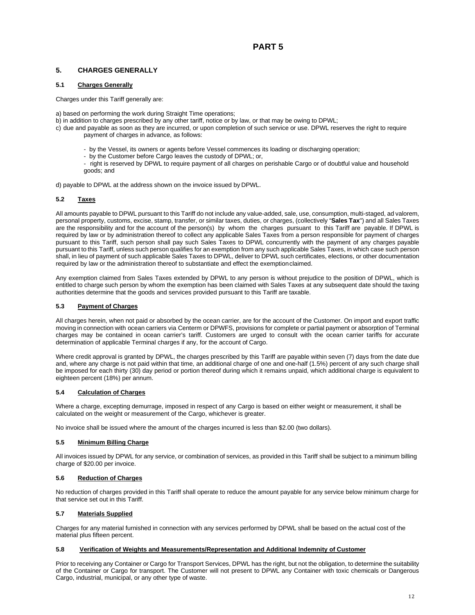### <span id="page-11-1"></span><span id="page-11-0"></span>**5. CHARGES GENERALLY**

#### **5.1 Charges Generally**

Charges under this Tariff generally are:

a) based on performing the work during Straight Time operations;

- b) in addition to charges prescribed by any other tariff, notice or by law, or that may be owing to DPWL;
- c) due and payable as soon as they are incurred, or upon completion of such service or use. DPWL reserves the right to require payment of charges in advance, as follows:
	- by the Vessel, its owners or agents before Vessel commences its loading or discharging operation;
	- by the Customer before Cargo leaves the custody of DPWL; or,
	- right is reserved by DPWL to require payment of all charges on perishable Cargo or of doubtful value and household goods; and

d) payable to DPWL at the address shown on the invoice issued by DPWL.

#### **5.2 Taxes**

All amounts payable to DPWL pursuant to this Tariff do not include any value-added, sale, use, consumption, multi-staged, ad valorem, personal property, customs, excise, stamp, transfer, or similar taxes, duties, or charges, (collectively "**Sales Tax**") and all Sales Taxes are the responsibility and for the account of the person(s) by whom the charges pursuant to this Tariff are payable. If DPWL is required by law or by administration thereof to collect any applicable Sales Taxes from a person responsible for payment of charges pursuant to this Tariff, such person shall pay such Sales Taxes to DPWL concurrently with the payment of any charges payable pursuant to this Tariff, unless such person qualifies for an exemption from any such applicable Sales Taxes, in which case such person shall, in lieu of payment of such applicable Sales Taxes to DPWL, deliver to DPWL such certificates, elections, or other documentation required by law or the administration thereof to substantiate and effect the exemptionclaimed.

Any exemption claimed from Sales Taxes extended by DPWL to any person is without prejudice to the position of DPWL, which is entitled to charge such person by whom the exemption has been claimed with Sales Taxes at any subsequent date should the taxing authorities determine that the goods and services provided pursuant to this Tariff are taxable.

#### **5.3 Payment of Charges**

All charges herein, when not paid or absorbed by the ocean carrier, are for the account of the Customer. On import and export traffic moving in connection with ocean carriers via Centerm or DPWFS, provisions for complete or partial payment or absorption of Terminal charges may be contained in ocean carrier's tariff. Customers are urged to consult with the ocean carrier tariffs for accurate determination of applicable Terminal charges if any, for the account of Cargo.

Where credit approval is granted by DPWL, the charges prescribed by this Tariff are payable within seven (7) days from the date due and, where any charge is not paid within that time, an additional charge of one and one-half (1.5%) percent of any such charge shall be imposed for each thirty (30) day period or portion thereof during which it remains unpaid, which additional charge is equivalent to eighteen percent (18%) per annum.

#### **5.4 Calculation of Charges**

Where a charge, excepting demurrage, imposed in respect of any Cargo is based on either weight or measurement, it shall be calculated on the weight or measurement of the Cargo, whichever is greater.

No invoice shall be issued where the amount of the charges incurred is less than \$2.00 (two dollars).

#### **5.5 Minimum Billing Charge**

All invoices issued by DPWL for any service, or combination of services, as provided in this Tariff shall be subject to a minimum billing charge of \$20.00 per invoice.

#### **5.6 Reduction of Charges**

No reduction of charges provided in this Tariff shall operate to reduce the amount payable for any service below minimum charge for that service set out in this Tariff.

#### **5.7 Materials Supplied**

Charges for any material furnished in connection with any services performed by DPWL shall be based on the actual cost of the material plus fifteen percent.

#### **5.8 Verification of Weights and Measurements/Representation and Additional Indemnity of Customer**

Prior to receiving any Container or Cargo for Transport Services, DPWL has the right, but not the obligation, to determine the suitability of the Container or Cargo for transport. The Customer will not present to DPWL any Container with toxic chemicals or Dangerous Cargo, industrial, municipal, or any other type of waste.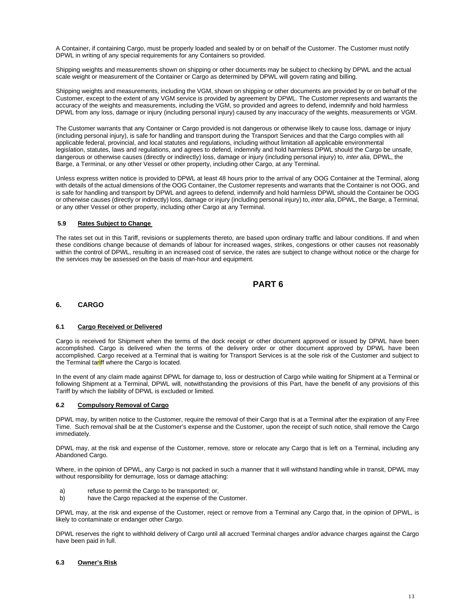A Container, if containing Cargo, must be properly loaded and sealed by or on behalf of the Customer. The Customer must notify DPWL in writing of any special requirements for any Containers so provided.

Shipping weights and measurements shown on shipping or other documents may be subject to checking by DPWL and the actual scale weight or measurement of the Container or Cargo as determined by DPWL will govern rating and billing.

Shipping weights and measurements, including the VGM, shown on shipping or other documents are provided by or on behalf of the Customer, except to the extent of any VGM service is provided by agreement by DPWL. The Customer represents and warrants the accuracy of the weights and measurements, including the VGM, so provided and agrees to defend, indemnify and hold harmless DPWL from any loss, damage or injury (including personal injury) caused by any inaccuracy of the weights, measurements or VGM.

The Customer warrants that any Container or Cargo provided is not dangerous or otherwise likely to cause loss, damage or injury (including personal injury), is safe for handling and transport during the Transport Services and that the Cargo complies with all applicable federal, provincial, and local statutes and regulations, including without limitation all applicable environmental legislation, statutes, laws and regulations, and agrees to defend, indemnify and hold harmless DPWL should the Cargo be unsafe, dangerous or otherwise causes (directly or indirectly) loss, damage or injury (including personal injury) to, *inter alia*, DPWL, the Barge, a Terminal, or any other Vessel or other property, including other Cargo, at any Terminal.

Unless express written notice is provided to DPWL at least 48 hours prior to the arrival of any OOG Container at the Terminal, along with details of the actual dimensions of the OOG Container, the Customer represents and warrants that the Container is not OOG, and is safe for handling and transport by DPWL and agrees to defend, indemnify and hold harmless DPWL should the Container be OOG or otherwise causes (directly or indirectly) loss, damage or injury (including personal injury) to, *inter alia*, DPWL, the Barge, a Terminal, or any other Vessel or other property, including other Cargo at any Terminal.

#### **5.9 Rates Subject to Change**

The rates set out in this Tariff, revisions or supplements thereto, are based upon ordinary traffic and labour conditions. If and when these conditions change because of demands of labour for increased wages, strikes, congestions or other causes not reasonably within the control of DPWL, resulting in an increased cost of service, the rates are subject to change without notice or the charge for the services may be assessed on the basis of man-hour and equipment.

# **PART 6**

#### <span id="page-12-1"></span><span id="page-12-0"></span>**6. CARGO**

#### **6.1 Cargo Received or Delivered**

Cargo is received for Shipment when the terms of the dock receipt or other document approved or issued by DPWL have been accomplished. Cargo is delivered when the terms of the delivery order or other document approved by DPWL have been accomplished. Cargo received at a Terminal that is waiting for Transport Services is at the sole risk of the Customer and subject to the Terminal tariff where the Cargo is located.

In the event of any claim made against DPWL for damage to, loss or destruction of Cargo while waiting for Shipment at a Terminal or following Shipment at a Terminal, DPWL will, notwithstanding the provisions of this Part, have the benefit of any provisions of this Tariff by which the liability of DPWL is excluded or limited.

#### **6.2 Compulsory Removal of Cargo**

DPWL may, by written notice to the Customer, require the removal of their Cargo that is at a Terminal after the expiration of any Free Time. Such removal shall be at the Customer's expense and the Customer, upon the receipt of such notice, shall remove the Cargo immediately.

DPWL may, at the risk and expense of the Customer, remove, store or relocate any Cargo that is left on a Terminal, including any Abandoned Cargo.

Where, in the opinion of DPWL, any Cargo is not packed in such a manner that it will withstand handling while in transit, DPWL may without responsibility for demurrage, loss or damage attaching:

- a) refuse to permit the Cargo to be transported; or,<br>b) have the Cargo repacked at the expense of the t
- have the Cargo repacked at the expense of the Customer.

DPWL may, at the risk and expense of the Customer, reject or remove from a Terminal any Cargo that, in the opinion of DPWL, is likely to contaminate or endanger other Cargo.

DPWL reserves the right to withhold delivery of Cargo until all accrued Terminal charges and/or advance charges against the Cargo have been paid in full.

#### **6.3 Owner's Risk**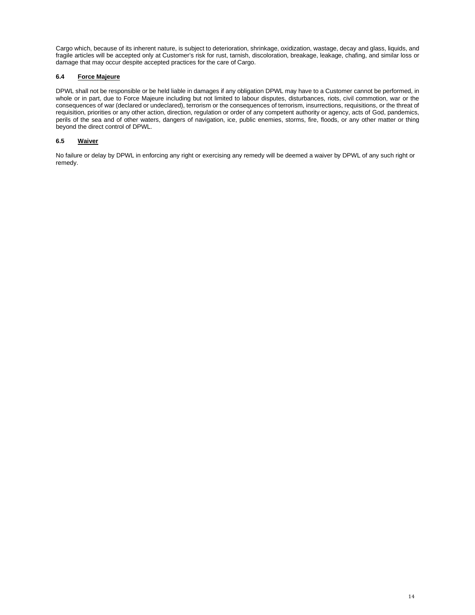Cargo which, because of its inherent nature, is subject to deterioration, shrinkage, oxidization, wastage, decay and glass, liquids, and fragile articles will be accepted only at Customer's risk for rust, tarnish, discoloration, breakage, leakage, chafing, and similar loss or damage that may occur despite accepted practices for the care of Cargo.

#### **6.4 Force Majeure**

DPWL shall not be responsible or be held liable in damages if any obligation DPWL may have to a Customer cannot be performed, in whole or in part, due to Force Majeure including but not limited to labour disputes, disturbances, riots, civil commotion, war or the consequences of war (declared or undeclared), terrorism or the consequences of terrorism, insurrections, requisitions, or the threat of requisition, priorities or any other action, direction, regulation or order of any competent authority or agency, acts of God, pandemics, perils of the sea and of other waters, dangers of navigation, ice, public enemies, storms, fire, floods, or any other matter or thing beyond the direct control of DPWL.

#### **6.5 Waiver**

No failure or delay by DPWL in enforcing any right or exercising any remedy will be deemed a waiver by DPWL of any such right or remedy.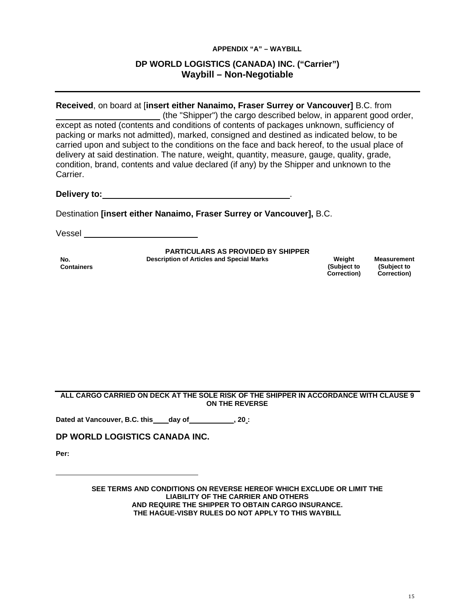### **APPENDIX "A" – WAYBILL**

# **DP WORLD LOGISTICS (CANADA) INC. ("Carrier") Waybill – Non-Negotiable**

<span id="page-14-0"></span>**Received**, on board at [**insert either Nanaimo, Fraser Surrey or Vancouver]** B.C. from (the "Shipper") the cargo described below, in apparent good order, except as noted (contents and conditions of contents of packages unknown, sufficiency of packing or marks not admitted), marked, consigned and destined as indicated below, to be carried upon and subject to the conditions on the face and back hereof, to the usual place of delivery at said destination. The nature, weight, quantity, measure, gauge, quality, grade, condition, brand, contents and value declared (if any) by the Shipper and unknown to the Carrier.

**Delivery to:** .

Destination **[insert either Nanaimo, Fraser Surrey or Vancouver],** B.C.

Vessel

**PARTICULARS AS PROVIDED BY SHIPPER**

**No. Containers** **Description of Articles and Special Marks Weight** Weight

**(Subject to Correction)** **Measurement (Subject to Correction)**

**ALL CARGO CARRIED ON DECK AT THE SOLE RISK OF THE SHIPPER IN ACCORDANCE WITH CLAUSE 9 ON THE REVERSE**

**Dated at Vancouver, B.C. this day of , 20 :**

**DP WORLD LOGISTICS CANADA INC.**

**Per:**

**SEE TERMS AND CONDITIONS ON REVERSE HEREOF WHICH EXCLUDE OR LIMIT THE LIABILITY OF THE CARRIER AND OTHERS AND REQUIRE THE SHIPPER TO OBTAIN CARGO INSURANCE. THE HAGUE-VISBY RULES DO NOT APPLY TO THIS WAYBILL**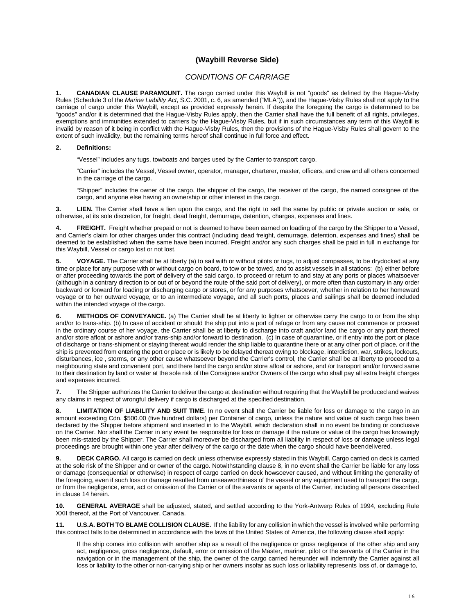# **(Waybill Reverse Side)**

### *CONDITIONS OF CARRIAGE*

**1. CANADIAN CLAUSE PARAMOUNT.** The cargo carried under this Waybill is not "goods" as defined by the Hague-Visby Rules (Schedule 3 of the *Marine Liability Act*, S.C. 2001, c. 6, as amended ("MLA")), and the Hague-Visby Rules shall not apply to the carriage of cargo under this Waybill, except as provided expressly herein. If despite the foregoing the cargo is determined to be "goods" and/or it is determined that the Hague-Visby Rules apply, then the Carrier shall have the full benefit of all rights, privileges, exemptions and immunities extended to carriers by the Hague-Visby Rules, but if in such circumstances any term of this Waybill is invalid by reason of it being in conflict with the Hague-Visby Rules, then the provisions of the Hague-Visby Rules shall govern to the extent of such invalidity, but the remaining terms hereof shall continue in full force and effect.

#### **2. Definitions:**

"Vessel" includes any tugs, towboats and barges used by the Carrier to transport cargo.

"Carrier" includes the Vessel, Vessel owner, operator, manager, charterer, master, officers, and crew and all others concerned in the carriage of the cargo.

"Shipper" includes the owner of the cargo, the shipper of the cargo, the receiver of the cargo, the named consignee of the cargo, and anyone else having an ownership or other interest in the cargo.

**3. LIEN.** The Carrier shall have a lien upon the cargo, and the right to sell the same by public or private auction or sale, or otherwise, at its sole discretion, for freight, dead freight, demurrage, detention, charges, expenses and fines.

**4. FREIGHT.** Freight whether prepaid or not is deemed to have been earned on loading of the cargo by the Shipper to a Vessel, and Carrier's claim for other charges under this contract (including dead freight, demurrage, detention, expenses and fines) shall be deemed to be established when the same have been incurred. Freight and/or any such charges shall be paid in full in exchange for this Waybill, Vessel or cargo lost or not lost.

**5. VOYAGE.** The Carrier shall be at liberty (a) to sail with or without pilots or tugs, to adjust compasses, to be drydocked at any time or place for any purpose with or without cargo on board, to tow or be towed, and to assist vessels in all stations: (b) either before or after proceeding towards the port of delivery of the said cargo, to proceed or return to and stay at any ports or places whatsoever (although in a contrary direction to or out of or beyond the route of the said port of delivery), or more often than customary in any order backward or forward for loading or discharging cargo or stores, or for any purposes whatsoever, whether in relation to her homeward voyage or to her outward voyage, or to an intermediate voyage, and all such ports, places and sailings shall be deemed included within the intended voyage of the cargo.

**6. METHODS OF CONVEYANCE.** (a) The Carrier shall be at liberty to lighter or otherwise carry the cargo to or from the ship and/or to trans-ship. (b) In case of accident or should the ship put into a port of refuge or from any cause not commence or proceed in the ordinary course of her voyage, the Carrier shall be at liberty to discharge into craft and/or land the cargo or any part thereof and/or store afloat or ashore and/or trans-ship and/or forward to destination. (c) In case of quarantine, or if entry into the port or place of discharge or trans-shipment or staying thereat would render the ship liable to quarantine there or at any other port of place, or if the ship is prevented from entering the port or place or is likely to be delayed thereat owing to blockage, interdiction, war, strikes, lockouts, disturbances, ice , storms, or any other cause whatsoever beyond the Carrier's control, the Carrier shall be at liberty to proceed to a neighbouring state and convenient port, and there land the cargo and/or store afloat or ashore, and /or transport and/or forward same to their destination by land or water at the sole risk of the Consignee and/or Owners of the cargo who shall pay all extra freight charges and expenses incurred.

**7.** The Shipper authorizes the Carrier to deliver the cargo at destination without requiring that the Waybill be produced and waives any claims in respect of wrongful delivery if cargo is discharged at the specified destination.

**8. LIMITATION OF LIABILITY AND SUIT TIME**. In no event shall the Carrier be liable for loss or damage to the cargo in an amount exceeding Cdn. \$500.00 (five hundred dollars) per Container of cargo, unless the nature and value of such cargo has been declared by the Shipper before shipment and inserted in to the Waybill, which declaration shall in no event be binding or conclusive on the Carrier. Nor shall the Carrier in any event be responsible for loss or damage if the nature or value of the cargo has knowingly been mis-stated by the Shipper. The Carrier shall moreover be discharged from all liability in respect of loss or damage unless legal proceedings are brought within one year after delivery of the cargo or the date when the cargo should have beendelivered.

**9. DECK CARGO.** All cargo is carried on deck unless otherwise expressly stated in this Waybill. Cargo carried on deck is carried at the sole risk of the Shipper and or owner of the cargo. Notwithstanding clause 8, in no event shall the Carrier be liable for any loss or damage (consequential or otherwise) in respect of cargo carried on deck howsoever caused, and without limiting the generality of the foregoing, even if such loss or damage resulted from unseaworthiness of the vessel or any equipment used to transport the cargo, or from the negligence, error, act or omission of the Carrier or of the servants or agents of the Carrier, including all persons described in clause 14 herein.

**10. GENERAL AVERAGE** shall be adjusted, stated, and settled according to the York-Antwerp Rules of 1994, excluding Rule XXII thereof, at the Port of Vancouver, Canada.

**11. U.S.A. BOTH TO BLAME COLLISION CLAUSE.** If the liability for any collision in which the vessel is involved while performing this contract falls to be determined in accordance with the laws of the United States of America, the following clause shall apply:

If the ship comes into collision with another ship as a result of the negligence or gross negligence of the other ship and any act, negligence, gross negligence, default, error or omission of the Master, mariner, pilot or the servants of the Carrier in the navigation or in the management of the ship, the owner of the cargo carried hereunder will indemnify the Carrier against all loss or liability to the other or non-carrying ship or her owners insofar as such loss or liability represents loss of, or damage to,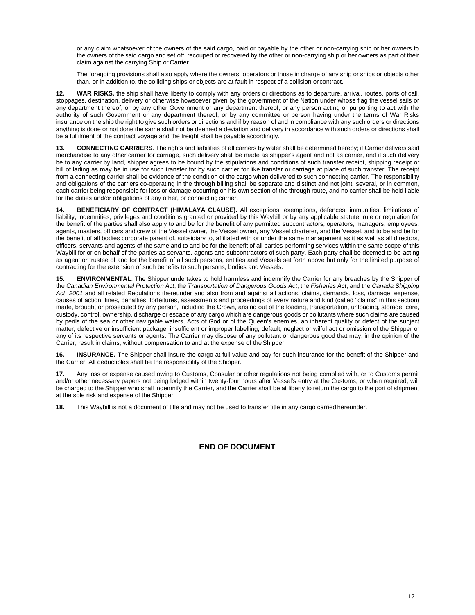or any claim whatsoever of the owners of the said cargo, paid or payable by the other or non-carrying ship or her owners to the owners of the said cargo and set off, recouped or recovered by the other or non-carrying ship or her owners as part of their claim against the carrying Ship or Carrier.

The foregoing provisions shall also apply where the owners, operators or those in charge of any ship or ships or objects other than, or in addition to, the colliding ships or objects are at fault in respect of a collision or contract.

**12. WAR RISKS.** the ship shall have liberty to comply with any orders or directions as to departure, arrival, routes, ports of call, stoppages, destination, delivery or otherwise howsoever given by the government of the Nation under whose flag the vessel sails or any department thereof, or by any other Government or any department thereof, or any person acting or purporting to act with the authority of such Government or any department thereof, or by any committee or person having under the terms of War Risks insurance on the ship the right to give such orders or directions and if by reason of and in compliance with any such orders or directions anything is done or not done the same shall not be deemed a deviation and delivery in accordance with such orders or directions shall be a fulfilment of the contract voyage and the freight shall be payable accordingly.

13. **CONNECTING CARRIERS**. The rights and liabilities of all carriers by water shall be determined hereby: if Carrier delivers said merchandise to any other carrier for carriage, such delivery shall be made as shipper's agent and not as carrier, and if such delivery be to any carrier by land, shipper agrees to be bound by the stipulations and conditions of such transfer receipt, shipping receipt or bill of lading as may be in use for such transfer for by such carrier for like transfer or carriage at place of such transfer. The receipt from a connecting carrier shall be evidence of the condition of the cargo when delivered to such connecting carrier. The responsibility and obligations of the carriers co-operating in the through billing shall be separate and distinct and not joint, several, or in common, each carrier being responsible for loss or damage occurring on his own section of the through route, and no carrier shall be held liable for the duties and/or obligations of any other, or connecting carrier.

**14. BENEFICIARY OF CONTRACT (HIMALAYA CLAUSE).** All exceptions, exemptions, defences, immunities, limitations of liability, indemnities, privileges and conditions granted or provided by this Waybill or by any applicable statute, rule or regulation for the benefit of the parties shall also apply to and be for the benefit of any permitted subcontractors, operators, managers, employees, agents, masters, officers and crew of the Vessel owner, the Vessel owner, any Vessel charterer, and the Vessel, and to be and be for the benefit of all bodies corporate parent of, subsidiary to, affiliated with or under the same management as it as well as all directors, officers, servants and agents of the same and to and be for the benefit of all parties performing services within the same scope of this Waybill for or on behalf of the parties as servants, agents and subcontractors of such party. Each party shall be deemed to be acting as agent or trustee of and for the benefit of all such persons, entities and Vessels set forth above but only for the limited purpose of contracting for the extension of such benefits to such persons, bodies and Vessels.

**15. ENVIRONMENTAL**. The Shipper undertakes to hold harmless and indemnify the Carrier for any breaches by the Shipper of the *Canadian Environmental Protection Act*, the *Transportation of Dangerous Goods Act*, the *Fisheries Act*, and the *Canada Shipping*  Act, 2001 and all related Regulations thereunder and also from and against all actions, claims, demands, loss, damage, expense, causes of action, fines, penalties, forfeitures, assessments and proceedings of every nature and kind (called "claims" in this section) made, brought or prosecuted by any person, including the Crown, arising out of the loading, transportation, unloading, storage, care, custody, control, ownership, discharge or escape of any cargo which are dangerous goods or pollutants where such claims are caused by perils of the sea or other navigable waters, Acts of God or of the Queen's enemies, an inherent quality or defect of the subject matter, defective or insufficient package, insufficient or improper labelling, default, neglect or wilful act or omission of the Shipper or any of its respective servants or agents. The Carrier may dispose of any pollutant or dangerous good that may, in the opinion of the Carrier, result in claims, without compensation to and at the expense of theShipper.

**16. INSURANCE.** The Shipper shall insure the cargo at full value and pay for such insurance for the benefit of the Shipper and the Carrier. All deductibles shall be the responsibility of the Shipper.

**17.** Any loss or expense caused owing to Customs, Consular or other regulations not being complied with, or to Customs permit and/or other necessary papers not being lodged within twenty-four hours after Vessel's entry at the Customs, or when required, will be charged to the Shipper who shall indemnify the Carrier, and the Carrier shall be at liberty to return the cargo to the port of shipment at the sole risk and expense of the Shipper.

**18.** This Waybill is not a document of title and may not be used to transfer title in any cargo carried hereunder.

# **END OF DOCUMENT**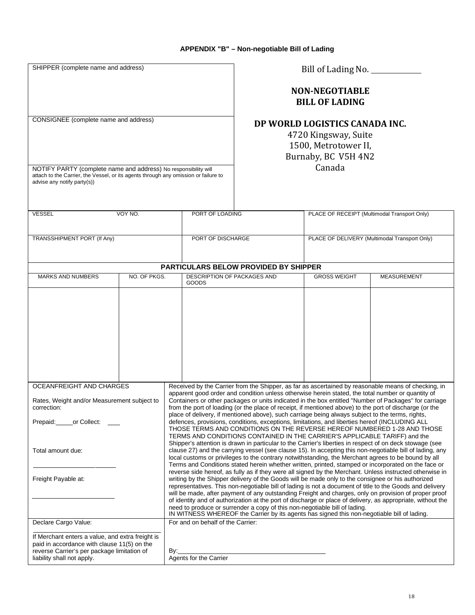<span id="page-17-0"></span>

| SHIPPER (complete name and address)                                                                                                                                                   |              |                                                                                                                                                                                                                                                                                                                                                                                                                                                                                                                                                                                                                                                                                                                                                                                                                                                                                                                                                                                                                                                                                                                                                                                                                                    | Bill of Lading No. __________                                                                         |                                                |                                              |
|---------------------------------------------------------------------------------------------------------------------------------------------------------------------------------------|--------------|------------------------------------------------------------------------------------------------------------------------------------------------------------------------------------------------------------------------------------------------------------------------------------------------------------------------------------------------------------------------------------------------------------------------------------------------------------------------------------------------------------------------------------------------------------------------------------------------------------------------------------------------------------------------------------------------------------------------------------------------------------------------------------------------------------------------------------------------------------------------------------------------------------------------------------------------------------------------------------------------------------------------------------------------------------------------------------------------------------------------------------------------------------------------------------------------------------------------------------|-------------------------------------------------------------------------------------------------------|------------------------------------------------|----------------------------------------------|
|                                                                                                                                                                                       |              |                                                                                                                                                                                                                                                                                                                                                                                                                                                                                                                                                                                                                                                                                                                                                                                                                                                                                                                                                                                                                                                                                                                                                                                                                                    |                                                                                                       | <b>NON-NEGOTIABLE</b><br><b>BILL OF LADING</b> |                                              |
| CONSIGNEE (complete name and address)                                                                                                                                                 |              |                                                                                                                                                                                                                                                                                                                                                                                                                                                                                                                                                                                                                                                                                                                                                                                                                                                                                                                                                                                                                                                                                                                                                                                                                                    | DP WORLD LOGISTICS CANADA INC.<br>4720 Kingsway, Suite<br>1500, Metrotower II,<br>Burnaby, BC V5H 4N2 |                                                |                                              |
| NOTIFY PARTY (complete name and address) No responsibility will<br>attach to the Carrier, the Vessel, or its agents through any omission or failure to<br>advise any notify party(s)) |              |                                                                                                                                                                                                                                                                                                                                                                                                                                                                                                                                                                                                                                                                                                                                                                                                                                                                                                                                                                                                                                                                                                                                                                                                                                    |                                                                                                       | Canada                                         |                                              |
| <b>VESSEL</b>                                                                                                                                                                         | VOY NO.      | PORT OF LOADING                                                                                                                                                                                                                                                                                                                                                                                                                                                                                                                                                                                                                                                                                                                                                                                                                                                                                                                                                                                                                                                                                                                                                                                                                    |                                                                                                       |                                                | PLACE OF RECEIPT (Multimodal Transport Only) |
| TRANSSHIPMENT PORT (If Any)                                                                                                                                                           |              | PORT OF DISCHARGE                                                                                                                                                                                                                                                                                                                                                                                                                                                                                                                                                                                                                                                                                                                                                                                                                                                                                                                                                                                                                                                                                                                                                                                                                  | PLACE OF DELIVERY (Multimodal Transport Only)                                                         |                                                |                                              |
|                                                                                                                                                                                       |              | <b>PARTICULARS BELOW PROVIDED BY SHIPPER</b>                                                                                                                                                                                                                                                                                                                                                                                                                                                                                                                                                                                                                                                                                                                                                                                                                                                                                                                                                                                                                                                                                                                                                                                       |                                                                                                       |                                                |                                              |
| <b>MARKS AND NUMBERS</b>                                                                                                                                                              | NO. OF PKGS. | DESCRIPTION OF PACKAGES AND<br>GOODS                                                                                                                                                                                                                                                                                                                                                                                                                                                                                                                                                                                                                                                                                                                                                                                                                                                                                                                                                                                                                                                                                                                                                                                               |                                                                                                       | <b>GROSS WEIGHT</b>                            | <b>MEASUREMENT</b>                           |
|                                                                                                                                                                                       |              |                                                                                                                                                                                                                                                                                                                                                                                                                                                                                                                                                                                                                                                                                                                                                                                                                                                                                                                                                                                                                                                                                                                                                                                                                                    |                                                                                                       |                                                |                                              |
| OCEANFREIGHT AND CHARGES<br>Rates, Weight and/or Measurement subject to<br>correction:<br>Prepaid:<br>or Collect:<br>Total amount due:                                                |              | Received by the Carrier from the Shipper, as far as ascertained by reasonable means of checking, in<br>apparent good order and condition unless otherwise herein stated, the total number or quantity of<br>Containers or other packages or units indicated in the box entitled "Number of Packages" for carriage<br>from the port of loading (or the place of receipt, if mentioned above) to the port of discharge (or the<br>place of delivery, if mentioned above), such carriage being always subject to the terms, rights,<br>defences, provisions, conditions, exceptions, limitations, and liberties hereof (INCLUDING ALL<br>THOSE TERMS AND CONDITIONS ON THE REVERSE HEREOF NUMBERED 1-28 AND THOSE<br>TERMS AND CONDITIONS CONTAINED IN THE CARRIER'S APPLICABLE TARIFF) and the<br>Shipper's attention is drawn in particular to the Carrier's liberties in respect of on deck stowage (see<br>clause 27) and the carrying vessel (see clause 15). In accepting this non-negotiable bill of lading, any<br>local customs or privileges to the contrary notwithstanding, the Merchant agrees to be bound by all<br>Terms and Conditions stated herein whether written, printed, stamped or incorporated on the face or |                                                                                                       |                                                |                                              |
| Freight Payable at:                                                                                                                                                                   |              | reverse side hereof, as fully as if they were all signed by the Merchant. Unless instructed otherwise in<br>writing by the Shipper delivery of the Goods will be made only to the consignee or his authorized<br>representatives. This non-negotiable bill of lading is not a document of title to the Goods and delivery<br>will be made, after payment of any outstanding Freight and charges, only on provision of proper proof<br>of identity and of authorization at the port of discharge or place of delivery, as appropriate, without the<br>need to produce or surrender a copy of this non-negotiable bill of lading.<br>IN WITNESS WHEREOF the Carrier by its agents has signed this non-negotiable bill of lading.                                                                                                                                                                                                                                                                                                                                                                                                                                                                                                     |                                                                                                       |                                                |                                              |
| Declare Cargo Value:                                                                                                                                                                  |              | For and on behalf of the Carrier:                                                                                                                                                                                                                                                                                                                                                                                                                                                                                                                                                                                                                                                                                                                                                                                                                                                                                                                                                                                                                                                                                                                                                                                                  |                                                                                                       |                                                |                                              |
| If Merchant enters a value, and extra freight is<br>paid in accordance with clause 11(5) on the<br>reverse Carrier's per package limitation of<br>liability shall not apply.          |              | By:<br>Agents for the Carrier                                                                                                                                                                                                                                                                                                                                                                                                                                                                                                                                                                                                                                                                                                                                                                                                                                                                                                                                                                                                                                                                                                                                                                                                      |                                                                                                       |                                                |                                              |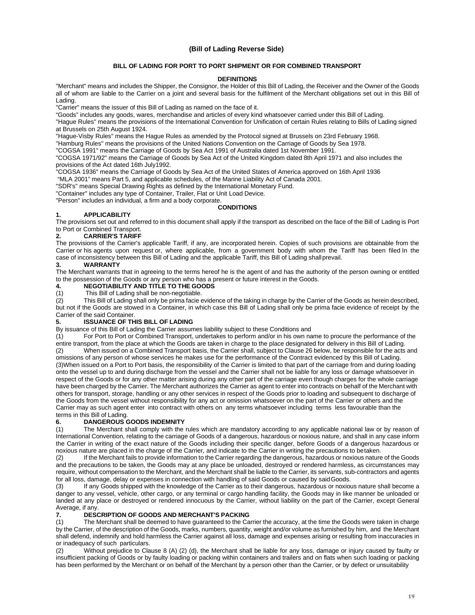#### **(Bill of Lading Reverse Side)**

#### **BILL OF LADING FOR PORT TO PORT SHIPMENT OR FOR COMBINED TRANSPORT**

#### **DEFINITIONS**

"Merchant" means and includes the Shipper, the Consignor, the Holder of this Bill of Lading, the Receiver and the Owner of the Goods all of whom are liable to the Carrier on a joint and several basis for the fulfilment of the Merchant obligations set out in this Bill of Lading.

"Carrier" means the issuer of this Bill of Lading as named on the face of it.

"Goods" includes any goods, wares, merchandise and articles of every kind whatsoever carried under this Bill of Lading.

"Hague Rules" means the provisions of the International Convention for Unification of certain Rules relating to Bills of Lading signed at Brussels on 25th August 1924.

"Hague-Visby Rules" means the Hague Rules as amended by the Protocol signed at Brussels on 23rd February 1968.

"Hamburg Rules" means the provisions of the United Nations Convention on the Carriage of Goods by Sea 1978.

"COGSA 1991" means the Carriage of Goods by Sea Act 1991 of Australia dated 1st November 1991.

"COGSA 1971/92" means the Carriage of Goods by Sea Act of the United Kingdom dated 8th April 1971 and also includes the provisions of the Act dated 16th July1992.

"COGSA 1936" means the Carriage of Goods by Sea Act of the United States of America approved on 16th April 1936

"MLA 2001" means Part 5, and applicable schedules, of the Marine Liability Act of Canada 2001.

"SDR's" means Special Drawing Rights as defined by the International Monetary Fund.

"Container" includes any type of Container, Trailer, Flat or Unit Load Device.

"Person" includes an individual, a firm and a body corporate.

#### **CONDITIONS**

#### **1. APPLICABILITY**

The provisions set out and referred to in this document shall apply if the transport as described on the face of the Bill of Lading is Port to Port or Combined Transport.<br>2. **CARRIER'S TARIFF** 

#### **2. CARRIER'S TARIFF**

The provisions of the Carrier's applicable Tariff, if any, are incorporated herein. Copies of such provisions are obtainable from the Carrier or his agents upon request or, where applicable, from a government body with whom the Tariff has been filed In the case of inconsistency between this Bill of Lading and the applicable Tariff, this Bill of Lading shall prevail.<br>3. WARRANTY

### **3. WARRANTY**

The Merchant warrants that in agreeing to the terms hereof he is the agent of and has the authority of the person owning or entitled to the possession of the Goods or any person who has a present or future interest in the Goods.

# **4. NEGOTIABILITY AND TITLE TO THE GOODS**

This Bill of Lading shall be non-negotiable.

(2) This Bill of Lading shall only be prima facie evidence of the taking in charge by the Carrier of the Goods as herein described, but not if the Goods are stowed in a Container, in which case this Bill of Lading shall only be prima facie evidence of receipt by the Carrier of the said Container.

#### **5. ISSUANCE OF THIS BILL OF LADING**

By issuance of this Bill of Lading the Carrier assumes liability subject to these Conditions and (1) For Port to Port or Combined Transport, undertakes to perform and/or in his own na

For Port to Port or Combined Transport, undertakes to perform and/or in his own name to procure the performance of the entire transport, from the place at which the Goods are taken in charge to the place designated for delivery in this Bill of Lading.<br>(2) When issued on a Combined Transport basis, the Carrier shall, subject to Clause 26 be When issued on a Combined Transport basis, the Carrier shall, subject to Clause 26 below, be responsible for the acts and omissions of any person of whose services he makes use for the performance of the Contract evidenced by this Bill of Lading.

(3)When issued on a Port to Port basis, the responsibility of the Carrier is limited to that part of the carriage from and during loading onto the vessel up to and during discharge from the vessel and the Carrier shall not be liable for any loss or damage whatsoever in respect of the Goods or for any other matter arising during any other part of the carriage even though charges for the whole carriage have been charged by the Carrier. The Merchant authorizes the Carrier as agent to enter into contracts on behalf of the Merchant with others for transport, storage, handling or any other services in respect of the Goods prior to loading and subsequent to discharge of the Goods from the vessel without responsibility for any act or omission whatsoever on the part of the Carrier or others and the Carrier may as such agent enter into contract with others on any terms whatsoever including terms less favourable than the terms in this Bill of Lading.

#### **6. DANGEROUS GOODS INDEMNITY**

(1) The Merchant shall comply with the rules which are mandatory according to any applicable national law or by reason of International Convention, relating to the carriage of Goods of a dangerous, hazardous or noxious nature, and shall in any case inform the Carrier in writing of the exact nature of the Goods including their specific danger, before Goods of a dangerous hazardous or noxious nature are placed in the charge of the Carrier, and indicate to the Carrier in writing the precautions to betaken.

(2) If the Merchant fails to provide information to the Carrier regarding the dangerous, hazardous or noxious nature of the Goods and the precautions to be taken, the Goods may at any place be unloaded, destroyed or rendered harmless, as circumstances may require, without compensation to the Merchant, and the Merchant shall be liable to the Carrier, its servants, sub-contractors and agents for all loss, damage, delay or expenses in connection with handling of said Goods or caused by saidGoods.

(3) If any Goods shipped with the knowledge of the Carrier as to their dangerous, hazardous or noxious nature shall become a danger to any vessel, vehicle, other cargo, or any terminal or cargo handling facility, the Goods may in like manner be unloaded or landed at any place or destroyed or rendered innocuous by the Carrier, without liability on the part of the Carrier, except General Average, if any.

### **7. DESCRIPTION OF GOODS AND MERCHANT'S PACKING**

The Merchant shall be deemed to have guaranteed to the Carrier the accuracy, at the time the Goods were taken in charge by the Carrier, of the description of the Goods, marks, numbers, quantity, weight and/or volume as furnished by him, and the Merchant shall defend, indemnify and hold harmless the Carrier against all loss, damage and expenses arising or resulting from inaccuracies in or inadequacy of such particulars.

(2) Without prejudice to Clause 8 (A) (2) (d), the Merchant shall be liable for any loss, damage or injury caused by faulty or insufficient packing of Goods or by faulty loading or packing within containers and trailers and on flats when such loading or packing has been performed by the Merchant or on behalf of the Merchant by a person other than the Carrier, or by defect or unsuitability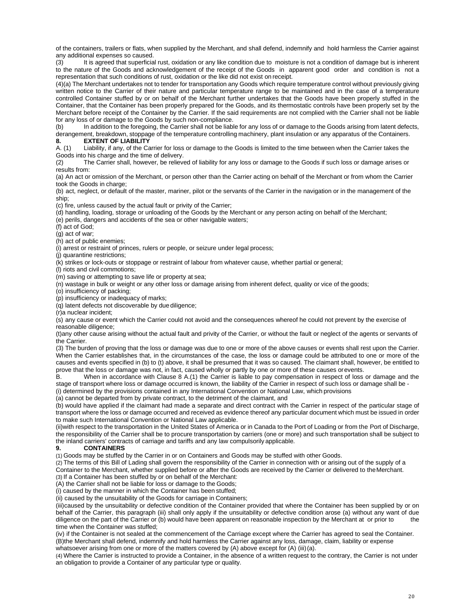of the containers, trailers or flats, when supplied by the Merchant, and shall defend, indemnify and hold harmless the Carrier against any additional expenses so caused.

(3) It is agreed that superficial rust, oxidation or any like condition due to moisture is not a condition of damage but is inherent to the nature of the Goods and acknowledgement of the receipt of the Goods in apparent good order and condition is not a representation that such conditions of rust, oxidation or the like did not exist on receipt.

(4)(a) The Merchant undertakes not to tender for transportation any Goods which require temperature control without previously giving written notice to the Carrier of their nature and particular temperature range to be maintained and in the case of a temperature controlled Container stuffed by or on behalf of the Merchant further undertakes that the Goods have been properly stuffed in the Container, that the Container has been properly prepared for the Goods, and its thermostatic controls have been properly set by the Merchant before receipt of the Container by the Carrier. If the said requirements are not complied with the Carrier shall not be liable

for any loss of or damage to the Goods by such non-compliance.<br>(b) ln addition to the foregoing, the Carrier shall not be liable In addition to the foregoing, the Carrier shall not be liable for any loss of or damage to the Goods arising from latent defects, derangement, breakdown, stoppage of the temperature controlling machinery, plant insulation or any apparatus of the Containers.

**8. EXTENT OF LIABILITY** Liability, if any, of the Carrier for loss or damage to the Goods is limited to the time between when the Carrier takes the Goods into his charge and the time of delivery.

(2) The Carrier shall, however, be relieved of liability for any loss or damage to the Goods if such loss or damage arises or results from:

(a) An act or omission of the Merchant, or person other than the Carrier acting on behalf of the Merchant or from whom the Carrier took the Goods in charge;

(b) act, neglect, or default of the master, mariner, pilot or the servants of the Carrier in the navigation or in the management of the ship;

(c) fire, unless caused by the actual fault or privity of the Carrier;

(d) handling, loading, storage or unloading of the Goods by the Merchant or any person acting on behalf of the Merchant;

(e) perils, dangers and accidents of the sea or other navigable waters;

(f) act of God;

(g) act of war;

(h) act of public enemies;

(i) arrest or restraint of princes, rulers or people, or seizure under legal process;

(j) quarantine restrictions;

(k) strikes or lock-outs or stoppage or restraint of labour from whatever cause, whether partial or general;

(l) riots and civil commotions; (m) saving or attempting to save life or property at sea;

(n) wastage in bulk or weight or any other loss or damage arising from inherent defect, quality or vice of the goods;

(o) insufficiency of packing;

(p) insufficiency or inadequacy of marks;

(q) latent defects not discoverable by due diligence;

(r)a nuclear incident;

(s) any cause or event which the Carrier could not avoid and the consequences whereof he could not prevent by the exercise of reasonable diligence;

(t)any other cause arising without the actual fault and privity of the Carrier, or without the fault or neglect of the agents or servants of the Carrier.

(3) The burden of proving that the loss or damage was due to one or more of the above causes or events shall rest upon the Carrier. When the Carrier establishes that, in the circumstances of the case, the loss or damage could be attributed to one or more of the causes and events specified in (b) to (t) above, it shall be presumed that it was so caused. The claimant shall, however, be entitled to prove that the loss or damage was not, in fact, caused wholly or partly by one or more of these causes orevents.<br>B. When in accordance with Clause 8 A.(1) the Carrier is liable to pay compensation in respect of loss

When in accordance with Clause 8 A.(1) the Carrier is liable to pay compensation in respect of loss or damage and the stage of transport where loss or damage occurred is known, the liability of the Carrier in respect of such loss or damage shall be - (i) determined by the provisions contained in any International Convention or National Law, which provisions

(a) cannot be departed from by private contract, to the detriment of the claimant, and

(b) would have applied if the claimant had made a separate and direct contract with the Carrier in respect of the particular stage of transport where the loss or damage occurred and received as evidence thereof any particular document which must be issued in order to make such International Convention or National Law applicable.

(ii)with respect to the transportation in the United States of America or in Canada to the Port of Loading or from the Port of Discharge, the responsibility of the Carrier shall be to procure transportation by carriers (one or more) and such transportation shall be subject to the inland carriers' contracts of carriage and tariffs and any law compulsorily applicable.

#### **9. CONTAINERS**

(1) Goods may be stuffed by the Carrier in or on Containers and Goods may be stuffed with other Goods.

(2) The terms of this Bill of Lading shall govern the responsibility of the Carrier in connection with or arising out of the supply of a Container to the Merchant, whether supplied before or after the Goods are received by the Carrier or delivered to theMerchant. (3) If a Container has been stuffed by or on behalf of the Merchant:

(A) the Carrier shall not be liable for loss or damage to the Goods;

(i) caused by the manner in which the Container has been stuffed;

(ii) caused by the unsuitability of the Goods for carriage in Containers;

(iii)caused by the unsuitability or defective condition of the Container provided that where the Container has been supplied by or on behalf of the Carrier, this paragraph (iii) shall only apply if the unsuitability or defective condition arose (a) without any want of due diligence on the part of the Carrier or (b) would have been apparent on reasonable inspection by the Merchant at or prior to the time when the Container was stuffed;

(iv) if the Container is not sealed at the commencement of the Carriage except where the Carrier has agreed to seal the Container. (B)the Merchant shall defend, indemnify and hold harmless the Carrier against any loss, damage, claim, liability or expense whatsoever arising from one or more of the matters covered by (A) above except for (A) (iii)(a).

(4) Where the Carrier is instructed to provide a Container, in the absence of a written request to the contrary, the Carrier is not under an obligation to provide a Container of any particular type or quality.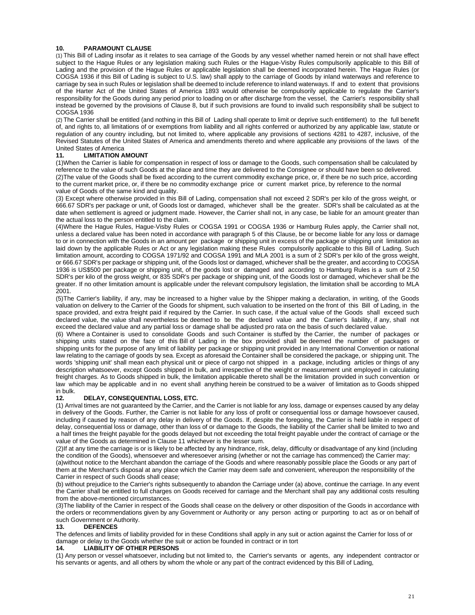#### **10. PARAMOUNT CLAUSE**

(1) This Bill of Lading insofar as it relates to sea carriage of the Goods by any vessel whether named herein or not shall have effect subject to the Hague Rules or any legislation making such Rules or the Hague-Visby Rules compulsorily applicable to this Bill of Lading and the provision of the Hague Rules or applicable legislation shall be deemed incorporated herein. The Hague Rules (or COGSA 1936 if this Bill of Lading is subject to U.S. law) shall apply to the carriage of Goods by inland waterways and reference to carriage by sea in such Rules or legislation shall be deemed to include reference to inland waterways. If and to extent that provisions of the Harter Act of the United States of America 1893 would otherwise be compulsorily applicable to regulate the Carrier's responsibility for the Goods during any period prior to loading on or after discharge from the vessel, the Carrier's responsibility shall instead be governed by the provisions of Clause 8, but if such provisions are found to invalid such responsibility shall be subject to COGSA 1936

(2) The Carrier shall be entitled (and nothing in this Bill of Lading shall operate to limit or deprive such entitlement) to the full benefit of, and rights to, all limitations of or exemptions from liability and all rights conferred or authorized by any applicable law, statute or regulation of any country including, but not limited to, where applicable any provisions of sections 4281 to 4287, inclusive, of the Revised Statutes of the United States of America and amendments thereto and where applicable any provisions of the laws of the United States of America

#### **11. LIMITATION AMOUNT**

(1)When the Carrier is liable for compensation in respect of loss or damage to the Goods, such compensation shall be calculated by reference to the value of such Goods at the place and time they are delivered to the Consignee or should have been so delivered. (2)The value of the Goods shall be fixed according to the current commodity exchange price, or, if there be no such price, according

to the current market price, or, if there be no commodity exchange price or current market price, by reference to the normal value of Goods of the same kind and quality.

(3) Except where otherwise provided in this Bill of Lading, compensation shall not exceed 2 SDR's per kilo of the gross weight, or 666.67 SDR's per package or unit, of Goods lost or damaged, whichever shall be the greater. SDR's shall be calculated as at the date when settlement is agreed or judgment made. However, the Carrier shall not, in any case, be liable for an amount greater than the actual loss to the person entitled to the claim.

(4)Where the Hague Rules, Hague-Visby Rules or COGSA 1991 or COGSA 1936 or Hamburg Rules apply, the Carrier shall not, unless a declared value has been noted in accordance with paragraph 5 of this Clause, be or become liable for any loss or damage to or in connection with the Goods in an amount per package or shipping unit in excess of the package or shipping unit limitation as laid down by the applicable Rules or Act or any legislation making these Rules compulsorily applicable to this Bill of Lading. Such limitation amount, according to COGSA 1971/92 and COGSA 1991 and MLA 2001 is a sum of 2 SDR's per kilo of the gross weight, or 666.67 SDR's per package or shipping unit, of the Goods lost or damaged, whichever shall be the greater, and according to COGSA 1936 is US\$500 per package or shipping unit, of the goods lost or damaged and according to Hamburg Rules is a sum of 2.50 SDR's per kilo of the gross weight, or 835 SDR's per package or shipping unit, of the Goods lost or damaged, whichever shall be the greater. If no other limitation amount is applicable under the relevant compulsory legislation, the limitation shall be according to MLA 2001.

(5)The Carrier's liability, if any, may be increased to a higher value by the Shipper making a declaration, in writing, of the Goods valuation on delivery to the Carrier of the Goods for shipment, such valuation to be inserted on the front of this Bill of Lading, in the space provided, and extra freight paid if required by the Carrier. In such case, if the actual value of the Goods shall exceed such declared value, the value shall nevertheless be deemed to be the declared value and the Carrier's liability, if any, shall not exceed the declared value and any partial loss or damage shall be adjusted pro rata on the basis of such declared value.

(6) Where a Container is used to consolidate Goods and such Container is stuffed by the Carrier, the number of packages or shipping units stated on the face of this Bill of Lading in the box provided shall be deemed the number of packages or shipping units for the purpose of any limit of liability per package or shipping unit provided in any International Convention or national law relating to the carriage of goods by sea. Except as aforesaid the Container shall be considered the package, or shipping unit. The words 'shipping unit' shall mean each physical unit or piece of cargo not shipped in a package, including articles or things of any description whatsoever, except Goods shipped in bulk, and irrespective of the weight or measurement unit employed in calculating freight charges. As to Goods shipped in bulk, the limitation applicable thereto shall be the limitation provided in such convention or law which may be applicable and in no event shall anything herein be construed to be a waiver of limitation as to Goods shipped in bulk.

#### **12. DELAY, CONSEQUENTIAL LOSS, ETC.**

(1) Arrival times are not guaranteed by the Carrier, and the Carrier is not liable for any loss, damage or expenses caused by any delay in delivery of the Goods. Further, the Carrier is not liable for any loss of profit or consequential loss or damage howsoever caused, including if caused by reason of any delay in delivery of the Goods. If, despite the foregoing, the Carrier is held liable in respect of delay, consequential loss or damage, other than loss of or damage to the Goods, the liability of the Carrier shall be limited to two and a half times the freight payable for the goods delayed but not exceeding the total freight payable under the contract of carriage or the value of the Goods as determined in Clause 11 whichever is the lesser sum.

(2)If at any time the carriage is or is likely to be affected by any hindrance, risk, delay, difficulty or disadvantage of any kind (including the condition of the Goods), whensoever and wheresoever arising (whether or not the carriage has commenced) the Carrier may:

(a)without notice to the Merchant abandon the carriage of the Goods and where reasonably possible place the Goods or any part of them at the Merchant's disposal at any place which the Carrier may deem safe and convenient, whereupon the responsibility of the Carrier in respect of such Goods shall cease;

(b) without prejudice to the Carrier's rights subsequently to abandon the Carriage under (a) above, continue the carriage. In any event the Carrier shall be entitled to full charges on Goods received for carriage and the Merchant shall pay any additional costs resulting from the above-mentioned circumstances.

(3)The liability of the Carrier in respect of the Goods shall cease on the delivery or other disposition of the Goods in accordance with the orders or recommendations given by any Government or Authority or any person acting or purporting to act as or on behalf of such Government or Authority.<br>13. DEFENCES

#### **13. DEFENCES**

The defences and limits of liability provided for in these Conditions shall apply in any suit or action against the Carrier for loss of or damage or delay to the Goods whether the suit or action be founded in contract or in tort

#### **14. LIABILITY OF OTHER PERSONS**

(1) Any person or vessel whatsoever, including but not limited to, the Carrier's servants or agents, any independent contractor or his servants or agents, and all others by whom the whole or any part of the contract evidenced by this Bill of Lading,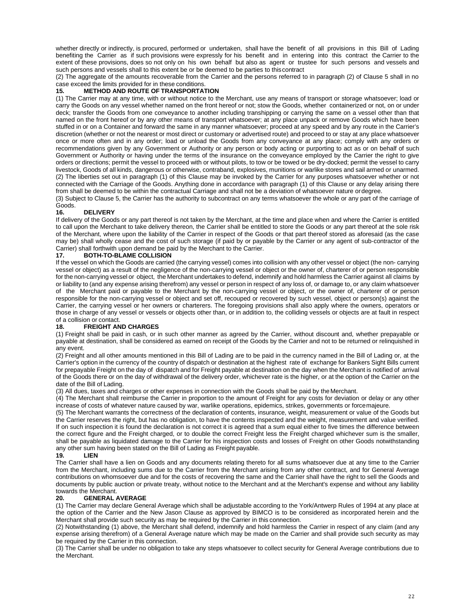whether directly or indirectly, is procured, performed or undertaken, shall have the benefit of all provisions in this Bill of Lading benefiting the Carrier as if such provisions were expressly for his benefit and in entering into this contract the Carrier to the extent of these provisions, does so not only on his own behalf but also as agent or trustee for such persons and vessels and such persons and vessels shall to this extent be or be deemed to be parties to thiscontract

(2) The aggregate of the amounts recoverable from the Carrier and the persons referred to in paragraph (2) of Clause 5 shall in no case exceed the limits provided for in these conditions.

#### **15. METHOD AND ROUTE OF TRANSPORTATION**

(1) The Carrier may at any time, with or without notice to the Merchant, use any means of transport or storage whatsoever; load or carry the Goods on any vessel whether named on the front hereof or not; stow the Goods, whether containerized or not, on or under deck; transfer the Goods from one conveyance to another including transhipping or carrying the same on a vessel other than that named on the front hereof or by any other means of transport whatsoever; at any place unpack or remove Goods which have been stuffed in or on a Container and forward the same in any manner whatsoever; proceed at any speed and by any route in the Carrier's discretion (whether or not the nearest or most direct or customary or advertised route) and proceed to or stay at any place whatsoever once or more often and in any order; load or unload the Goods from any conveyance at any place; comply with any orders or recommendations given by any Government or Authority or any person or body acting or purporting to act as or on behalf of such Government or Authority or having under the terms of the insurance on the conveyance employed by the Carrier the right to give orders or directions; permit the vessel to proceed with or without pilots, to tow or be towed or be dry-docked; permit the vessel to carry livestock, Goods of all kinds, dangerous or otherwise, contraband, explosives, munitions or warlike stores and sail armed or unarmed. (2) The liberties set out in paragraph (1) of this Clause may be invoked by the Carrier for any purposes whatsoever whether or not connected with the Carriage of the Goods. Anything done in accordance with paragraph (1) of this Clause or any delay arising there from shall be deemed to be within the contractual Carriage and shall not be a deviation of whatsoever nature ordegree.

(3) Subject to Clause 5, the Carrier has the authority to subcontract on any terms whatsoever the whole or any part of the carriage of

#### Goods.<br>**16. 16. DELIVERY**

If delivery of the Goods or any part thereof is not taken by the Merchant, at the time and place when and where the Carrier is entitled to call upon the Merchant to take delivery thereon, the Carrier shall be entitled to store the Goods or any part thereof at the sole risk of the Merchant, where upon the liability of the Carrier in respect of the Goods or that part thereof stored as aforesaid (as the case may be) shall wholly cease and the cost of such storage (if paid by or payable by the Carrier or any agent of sub-contractor of the Carrier) shall forthwith upon demand be paid by the Merchant to the Carrier.

#### **17. BOTH-TO-BLAME COLLISION**

If the vessel on which the Goods are carried (the carrying vessel) comes into collision with any other vessel or object (the non- carrying vessel or object) as a result of the negligence of the non-carrying vessel or object or the owner of, charterer of or person responsible for the non-carrying vessel or object, the Merchant undertakes to defend, indemnify and hold harmless the Carrier against all claims by or liability to (and any expense arising therefrom) any vessel or person in respect of any loss of, or damage to, or any claim whatsoever of the Merchant paid or payable to the Merchant by the non-carrying vessel or object, or the owner of, charterer of or person responsible for the non-carrying vessel or object and set off, recouped or recovered by such vessel, object or person(s) against the Carrier, the carrying vessel or her owners or charterers. The foregoing provisions shall also apply where the owners, operators or those in charge of any vessel or vessels or objects other than, or in addition to, the colliding vessels or objects are at fault in respect of a collision or contact.

#### **18. FREIGHT AND CHARGES**

(1) Freight shall be paid in cash, or in such other manner as agreed by the Carrier, without discount and, whether prepayable or payable at destination, shall be considered as earned on receipt of the Goods by the Carrier and not to be returned or relinquished in any event.

(2) Freight and all other amounts mentioned in this Bill of Lading are to be paid in the currency named in the Bill of Lading or, at the Carrier's option in the currency of the country of dispatch or destination at the highest rate of exchange for Bankers Sight Bills current for prepayable Freight on the day of dispatch and for Freight payable at destination on the day when the Merchant is notified of arrival of the Goods there or on the day of withdrawal of the delivery order, whichever rate is the higher, or at the option of the Carrier on the date of the Bill of Lading.

(3) All dues, taxes and charges or other expenses in connection with the Goods shall be paid by theMerchant.

(4) The Merchant shall reimburse the Carrier in proportion to the amount of Freight for any costs for deviation or delay or any other increase of costs of whatever nature caused by war, warlike operations, epidemics, strikes, governments or forcemajeure.

(5) The Merchant warrants the correctness of the declaration of contents, insurance, weight, measurement or value of the Goods but the Carrier reserves the right, but has no obligation, to have the contents inspected and the weight, measurement and value verified. If on such inspection it is found the declaration is not correct it is agreed that a sum equal either to five times the difference between the correct figure and the Freight charged, or to double the correct Freight less the Freight charged whichever sum is the smaller, shall be payable as liquidated damage to the Carrier for his inspection costs and losses of Freight on other Goods notwithstanding any other sum having been stated on the Bill of Lading as Freight payable.<br>19. LIEN

#### **19. LIEN**

The Carrier shall have a lien on Goods and any documents relating thereto for all sums whatsoever due at any time to the Carrier from the Merchant, including sums due to the Carrier from the Merchant arising from any other contract, and for General Average contributions on whomsoever due and for the costs of recovering the same and the Carrier shall have the right to sell the Goods and documents by public auction or private treaty, without notice to the Merchant and at the Merchant's expense and without any liability towards the Merchant.<br>20. **GENERAL** 

#### **20. GENERAL AVERAGE**

(1) The Carrier may declare General Average which shall be adjustable according to the York/Antwerp Rules of 1994 at any place at the option of the Carrier and the New Jason Clause as approved by BIMCO is to be considered as incorporated herein and the Merchant shall provide such security as may be required by the Carrier in this connection.

(2) Notwithstanding (1) above, the Merchant shall defend, indemnify and hold harmless the Carrier in respect of any claim (and any expense arising therefrom) of a General Average nature which may be made on the Carrier and shall provide such security as may be required by the Carrier in this connection.

(3) The Carrier shall be under no obligation to take any steps whatsoever to collect security for General Average contributions due to the Merchant.